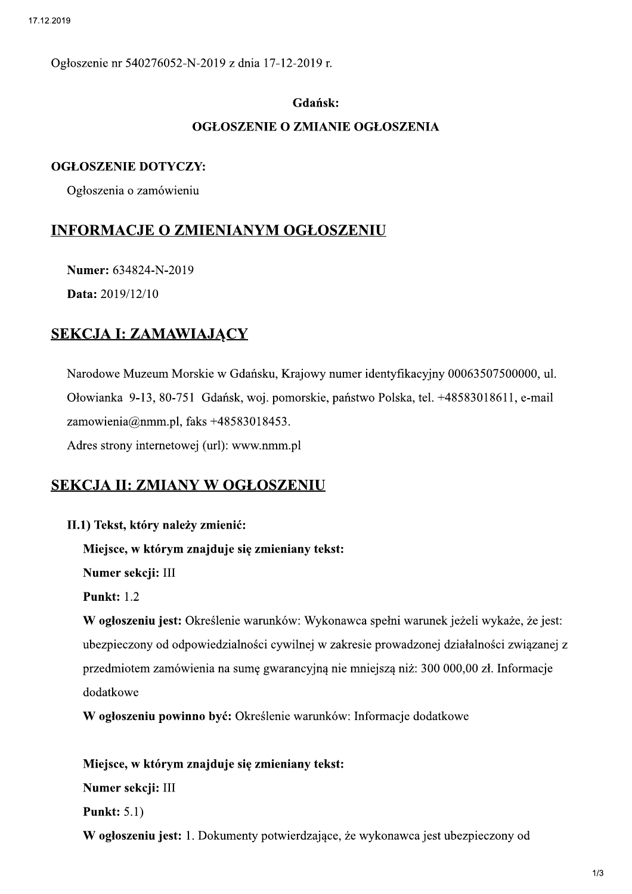Ogłoszenie nr 540276052-N-2019 z dnia 17-12-2019 r.

### Gdańsk:

### OGŁOSZENIE O ZMIANIE OGŁOSZENIA

### **OGŁOSZENIE DOTYCZY:**

Ogłoszenia o zamówieniu

### **INFORMACJE O ZMIENIANYM OGŁOSZENIU**

Numer: 634824-N-2019

Data: 2019/12/10

# **SEKCJA I: ZAMAWIAJĄCY**

Narodowe Muzeum Morskie w Gdańsku, Krajowy numer identyfikacyjny 00063507500000, ul. Ołowianka 9-13, 80-751 Gdańsk, woj. pomorskie, państwo Polska, tel. +48583018611, e-mail zamowienia@nmm.pl, faks  $+48583018453$ .

Adres strony internetowej (url): www.nmm.pl

# **SEKCJA II: ZMIANY W OGŁOSZENIU**

II.1) Tekst, który należy zmienić:

Miejsce, w którym znajduje się zmieniany tekst:

Numer sekcji: III

**Punkt: 1.2** 

W ogłoszeniu jest: Określenie warunków: Wykonawca spełni warunek jeżeli wykaże, że jest: ubezpieczony od odpowiedzialności cywilnej w zakresie prowadzonej działalności związanej z przedmiotem zamówienia na sumę gwarancyjną nie mniejszą niż: 300 000,00 zł. Informacje dodatkowe

W ogłoszeniu powinno być: Określenie warunków: Informacje dodatkowe

Miejsce, w którym znajduje się zmieniany tekst: Numer sekcji: III **Punkt: 5.1)** 

W ogłoszeniu jest: 1. Dokumenty potwierdzające, że wykonawca jest ubezpieczony od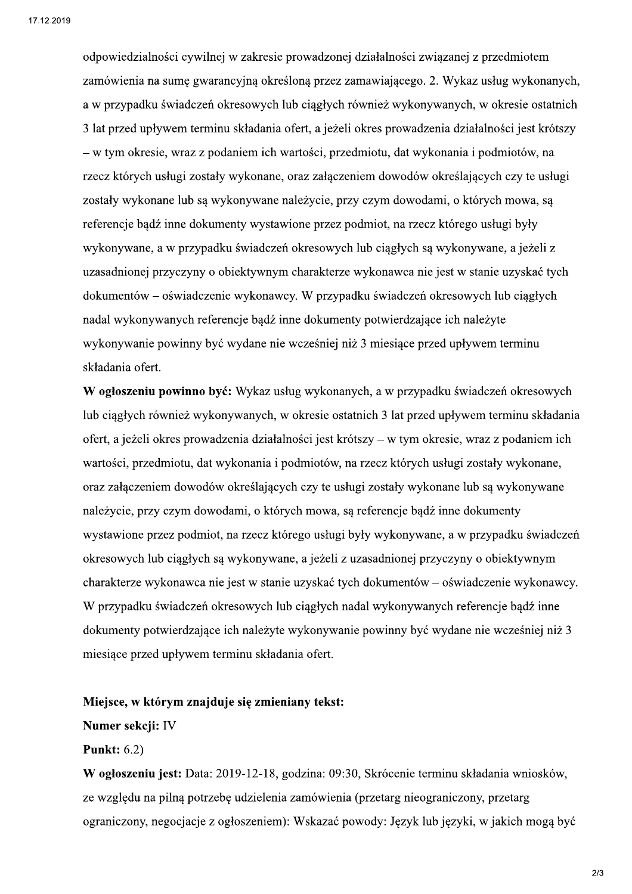odpowiedzialności cywilnej w zakresie prowadzonej działalności związanej z przedmiotem zamówienia na sume gwarancyjna określona przez zamawiającego. 2. Wykaz usług wykonanych, a w przypadku świadczeń okresowych lub ciągłych również wykonywanych, w okresie ostatnich 3 lat przed upływem terminu składania ofert, a jeżeli okres prowadzenia działalności jest krótszy – w tym okresie, wraz z podaniem ich wartości, przedmiotu, dat wykonania i podmiotów, na rzecz których usługi zostały wykonane, oraz załączeniem dowodów określających czy te usługi zostały wykonane lub są wykonywane należycie, przy czym dowodami, o których mowa, są referencje bądź inne dokumenty wystawione przez podmiot, na rzecz którego usługi były wykonywane, a w przypadku świadczeń okresowych lub ciągłych są wykonywane, a jeżeli z uzasadnionej przyczyny o obiektywnym charakterze wykonawca nie jest w stanie uzyskać tych dokumentów – oświadczenie wykonawcy. W przypadku świadczeń okresowych lub ciągłych nadal wykonywanych referencje bądź inne dokumenty potwierdzające ich należyte wykonywanie powinny być wydane nie wcześniej niż 3 miesiące przed upływem terminu składania ofert.

W ogłoszeniu powinno być: Wykaz usług wykonanych, a w przypadku świadczeń okresowych lub ciągłych również wykonywanych, w okresie ostatnich 3 lat przed upływem terminu składania ofert, a jeżeli okres prowadzenia działalności jest krótszy – w tym okresie, wraz z podaniem ich wartości, przedmiotu, dat wykonania i podmiotów, na rzecz których usługi zostały wykonane, oraz załączeniem dowodów określających czy te usługi zostały wykonane lub są wykonywane należycie, przy czym dowodami, o których mowa, są referencje bądź inne dokumenty wystawione przez podmiot, na rzecz którego usługi były wykonywane, a w przypadku świadczeń okresowych lub ciągłych są wykonywane, a jeżeli z uzasadnionej przyczyny o obiektywnym charakterze wykonawca nie jest w stanie uzyskać tych dokumentów – oświadczenie wykonawcy. W przypadku świadczeń okresowych lub ciągłych nadal wykonywanych referencje bądź inne dokumenty potwierdzające ich należyte wykonywanie powinny być wydane nie wcześniej niż 3 miesiące przed upływem terminu składania ofert.

#### Miejsce, w którym znajduje się zmieniany tekst:

### Numer sekcji: IV

### **Punkt:** 6.2)

W ogłoszeniu jest: Data: 2019-12-18, godzina: 09:30, Skrócenie terminu składania wniosków, ze względu na pilną potrzebę udzielenia zamówienia (przetarg nieograniczony, przetarg ograniczony, negocjacje z ogłoszeniem): Wskazać powody: Język lub języki, w jakich mogą być